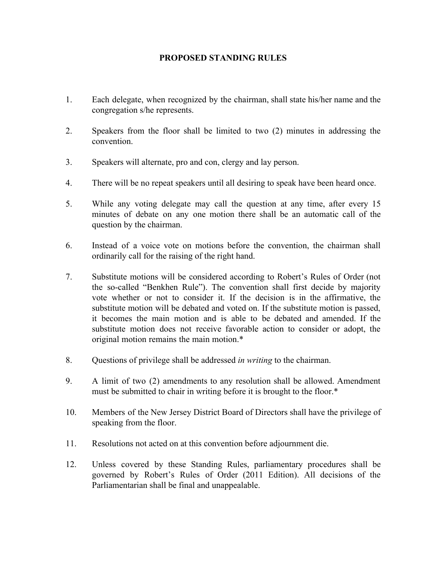## **PROPOSED STANDING RULES**

- 1. Each delegate, when recognized by the chairman, shall state his/her name and the congregation s/he represents.
- 2. Speakers from the floor shall be limited to two (2) minutes in addressing the convention.
- 3. Speakers will alternate, pro and con, clergy and lay person.
- 4. There will be no repeat speakers until all desiring to speak have been heard once.
- 5. While any voting delegate may call the question at any time, after every 15 minutes of debate on any one motion there shall be an automatic call of the question by the chairman.
- 6. Instead of a voice vote on motions before the convention, the chairman shall ordinarily call for the raising of the right hand.
- 7. Substitute motions will be considered according to Robert's Rules of Order (not the so-called "Benkhen Rule"). The convention shall first decide by majority vote whether or not to consider it. If the decision is in the affirmative, the substitute motion will be debated and voted on. If the substitute motion is passed, it becomes the main motion and is able to be debated and amended. If the substitute motion does not receive favorable action to consider or adopt, the original motion remains the main motion.\*
- 8. Questions of privilege shall be addressed *in writing* to the chairman.
- 9. A limit of two (2) amendments to any resolution shall be allowed. Amendment must be submitted to chair in writing before it is brought to the floor.\*
- 10. Members of the New Jersey District Board of Directors shall have the privilege of speaking from the floor.
- 11. Resolutions not acted on at this convention before adjournment die.
- 12. Unless covered by these Standing Rules, parliamentary procedures shall be governed by Robert's Rules of Order (2011 Edition). All decisions of the Parliamentarian shall be final and unappealable.